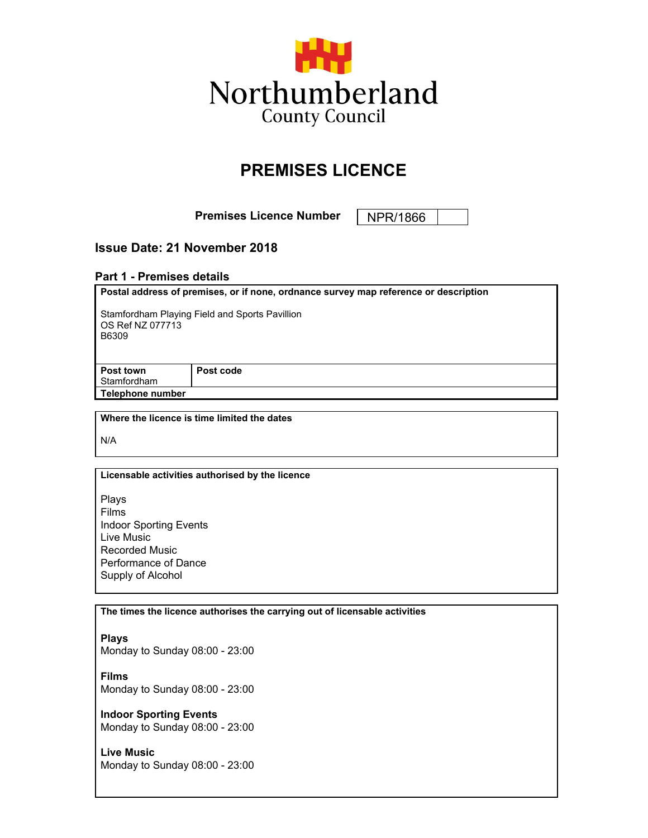

# **PREMISES LICENCE**

**Premises Licence Number** | NPR/1866

# **Issue Date: 21 November 2018**

#### **Part 1 - Premises details**

| Postal address of premises, or if none, ordnance survey map reference or description |           |
|--------------------------------------------------------------------------------------|-----------|
| Stamfordham Playing Field and Sports Pavillion<br>OS Ref NZ 077713<br>B6309          |           |
| Post town                                                                            | Post code |
| Stamfordham                                                                          |           |
| Telephone number                                                                     |           |
|                                                                                      |           |
| Where the licence is time limited the dates                                          |           |

N/A

#### **Licensable activities authorised by the licence**

Plays Films Indoor Sporting Events Live Music Recorded Music Performance of Dance Supply of Alcohol

#### **The times the licence authorises the carrying out of licensable activities**

**Plays**

Monday to Sunday 08:00 - 23:00

**Films** Monday to Sunday 08:00 - 23:00

**Indoor Sporting Events** Monday to Sunday 08:00 - 23:00

**Live Music** Monday to Sunday 08:00 - 23:00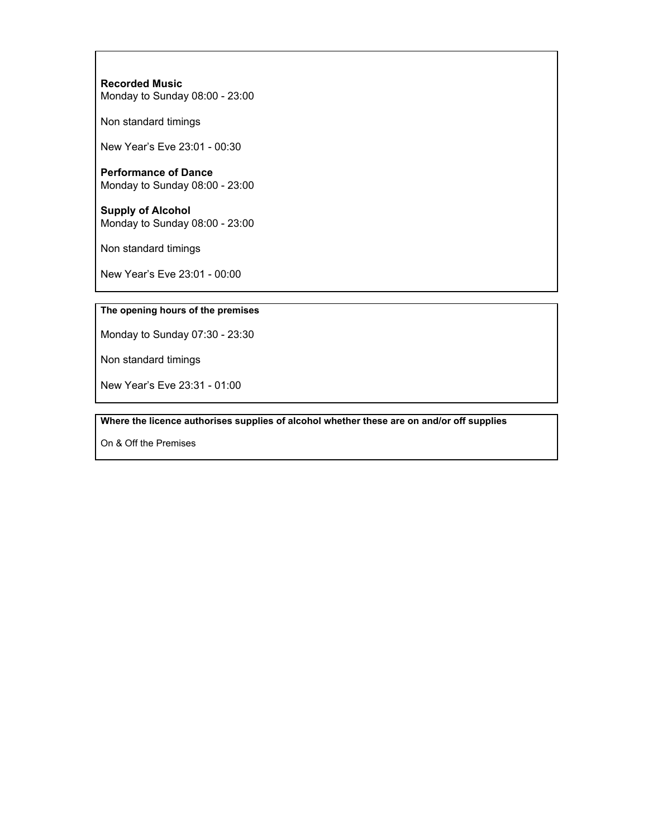### **Recorded Music** Monday to Sunday 08:00 - 23:00

Non standard timings

New Year's Eve 23:01 - 00:30

#### **Performance of Dance** Monday to Sunday 08:00 - 23:00

**Supply of Alcohol** Monday to Sunday 08:00 - 23:00

Non standard timings

New Year's Eve 23:01 - 00:00

#### **The opening hours of the premises**

Monday to Sunday 07:30 - 23:30

Non standard timings

New Year's Eve 23:31 - 01:00

**Where the licence authorises supplies of alcohol whether these are on and/or off supplies**

On & Off the Premises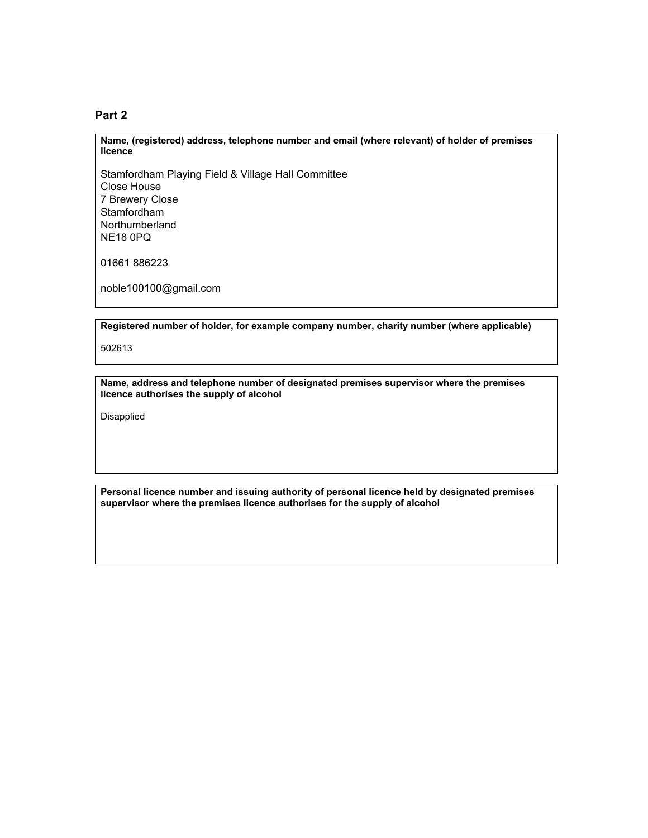#### **Part 2**

**Name, (registered) address, telephone number and email (where relevant) of holder of premises licence**

Stamfordham Playing Field & Village Hall Committee Close House 7 Brewery Close Stamfordham Northumberland NE18 0PQ

01661 886223

noble100100@gmail.com

**Registered number of holder, for example company number, charity number (where applicable)**

502613

**Name, address and telephone number of designated premises supervisor where the premises licence authorises the supply of alcohol**

Disapplied

**Personal licence number and issuing authority of personal licence held by designated premises supervisor where the premises licence authorises for the supply of alcohol**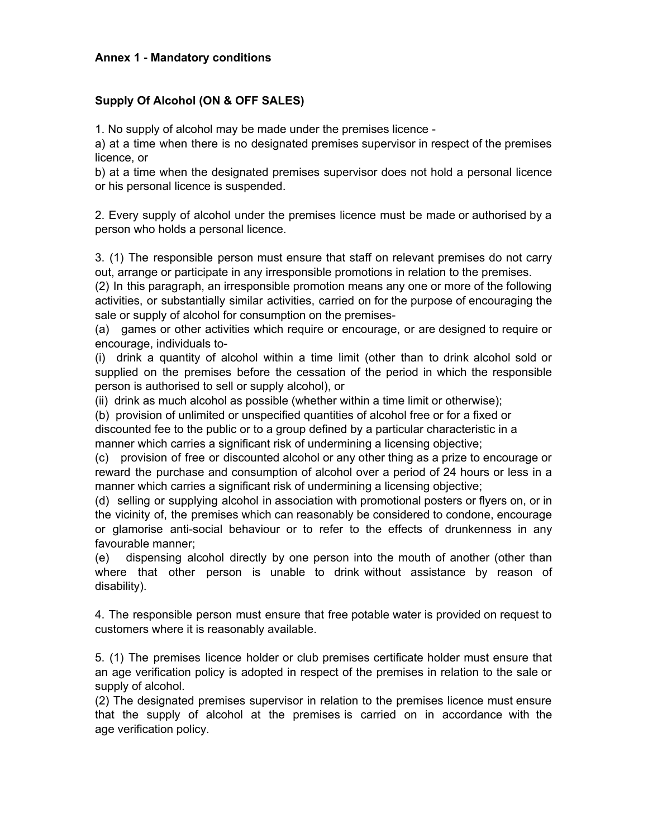## **Annex 1 - Mandatory conditions**

## **Supply Of Alcohol (ON & OFF SALES)**

1. No supply of alcohol may be made under the premises licence -

a) at a time when there is no designated premises supervisor in respect of the premises licence, or

b) at a time when the designated premises supervisor does not hold a personal licence or his personal licence is suspended.

2. Every supply of alcohol under the premises licence must be made or authorised by a person who holds a personal licence.

3. (1) The responsible person must ensure that staff on relevant premises do not carry out, arrange or participate in any irresponsible promotions in relation to the premises.

(2) In this paragraph, an irresponsible promotion means any one or more of the following activities, or substantially similar activities, carried on for the purpose of encouraging the sale or supply of alcohol for consumption on the premises-

(a) games or other activities which require or encourage, or are designed to require or encourage, individuals to-

(i) drink a quantity of alcohol within a time limit (other than to drink alcohol sold or supplied on the premises before the cessation of the period in which the responsible person is authorised to sell or supply alcohol), or

(ii) drink as much alcohol as possible (whether within a time limit or otherwise);

(b) provision of unlimited or unspecified quantities of alcohol free or for a fixed or

discounted fee to the public or to a group defined by a particular characteristic in a manner which carries a significant risk of undermining a licensing objective;

(c) provision of free or discounted alcohol or any other thing as a prize to encourage or reward the purchase and consumption of alcohol over a period of 24 hours or less in a manner which carries a significant risk of undermining a licensing objective;

(d) selling or supplying alcohol in association with promotional posters or flyers on, or in the vicinity of, the premises which can reasonably be considered to condone, encourage or glamorise anti-social behaviour or to refer to the effects of drunkenness in any favourable manner;

(e) dispensing alcohol directly by one person into the mouth of another (other than where that other person is unable to drink without assistance by reason of disability).

4. The responsible person must ensure that free potable water is provided on request to customers where it is reasonably available.

5. (1) The premises licence holder or club premises certificate holder must ensure that an age verification policy is adopted in respect of the premises in relation to the sale or supply of alcohol.

(2) The designated premises supervisor in relation to the premises licence must ensure that the supply of alcohol at the premises is carried on in accordance with the age verification policy.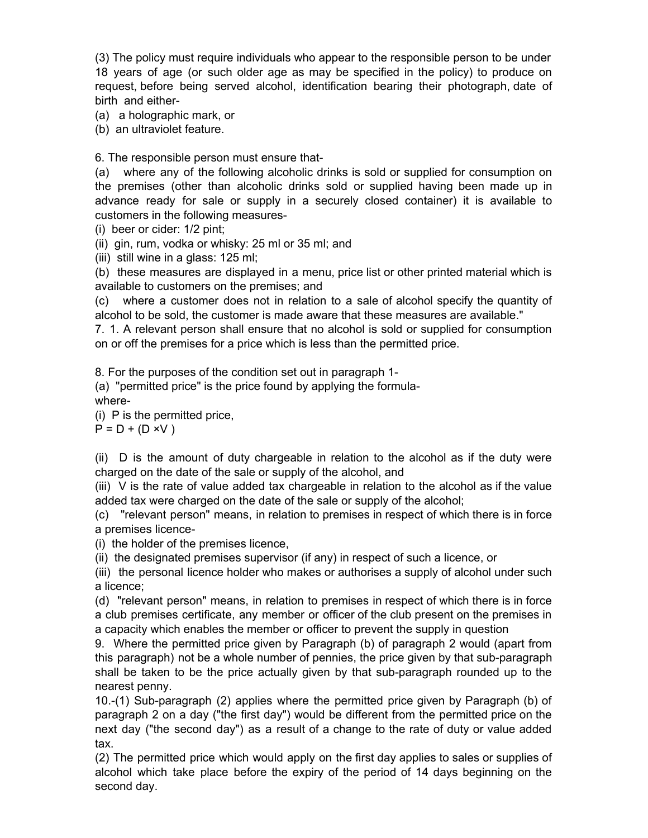(3) The policy must require individuals who appear to the responsible person to be under 18 years of age (or such older age as may be specified in the policy) to produce on request, before being served alcohol, identification bearing their photograph, date of birth and either-

(a) a holographic mark, or

(b) an ultraviolet feature.

6. The responsible person must ensure that-

(a) where any of the following alcoholic drinks is sold or supplied for consumption on the premises (other than alcoholic drinks sold or supplied having been made up in advance ready for sale or supply in a securely closed container) it is available to customers in the following measures-

(i) beer or cider: 1/2 pint;

(ii) gin, rum, vodka or whisky: 25 ml or 35 ml; and

(iii) still wine in a glass: 125 ml;

(b) these measures are displayed in a menu, price list or other printed material which is available to customers on the premises; and

(c) where a customer does not in relation to a sale of alcohol specify the quantity of alcohol to be sold, the customer is made aware that these measures are available."

7. 1. A relevant person shall ensure that no alcohol is sold or supplied for consumption on or off the premises for a price which is less than the permitted price.

8. For the purposes of the condition set out in paragraph 1-

(a) "permitted price" is the price found by applying the formulawhere-

(i) P is the permitted price,

 $P = D + (D \times V)$ 

(ii) D is the amount of duty chargeable in relation to the alcohol as if the duty were charged on the date of the sale or supply of the alcohol, and

(iii) V is the rate of value added tax chargeable in relation to the alcohol as if the value added tax were charged on the date of the sale or supply of the alcohol;

(c) "relevant person" means, in relation to premises in respect of which there is in force a premises licence-

(i) the holder of the premises licence,

(ii) the designated premises supervisor (if any) in respect of such a licence, or

(iii) the personal licence holder who makes or authorises a supply of alcohol under such a licence;

(d) "relevant person" means, in relation to premises in respect of which there is in force a club premises certificate, any member or officer of the club present on the premises in a capacity which enables the member or officer to prevent the supply in question

9. Where the permitted price given by Paragraph (b) of paragraph 2 would (apart from this paragraph) not be a whole number of pennies, the price given by that sub-paragraph shall be taken to be the price actually given by that sub-paragraph rounded up to the nearest penny.

10.-(1) Sub-paragraph (2) applies where the permitted price given by Paragraph (b) of paragraph 2 on a day ("the first day") would be different from the permitted price on the next day ("the second day") as a result of a change to the rate of duty or value added tax.

(2) The permitted price which would apply on the first day applies to sales or supplies of alcohol which take place before the expiry of the period of 14 days beginning on the second day.